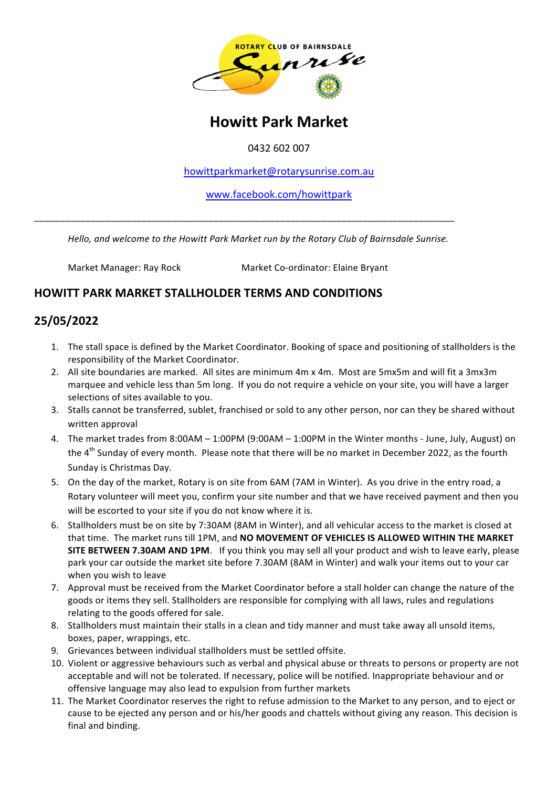

# **Howitt Park Market**

0432 602 007

howittparkmarket@rotarysunrise.com.au

www.facebook.com/howittpark

Hello, and welcome to the Howitt Park Market run by the Rotary Club of Bairnsdale Sunrise.

\_\_\_\_\_\_\_\_\_\_\_\_\_\_\_\_\_\_\_\_\_\_\_\_\_\_\_\_\_\_\_\_\_\_\_\_\_\_\_\_\_\_\_\_\_\_\_\_\_\_\_\_\_\_\_\_\_\_\_\_\_\_\_\_\_\_\_\_\_\_\_\_\_\_\_\_\_\_\_\_\_\_

Market Manager: Ray Rock Market Co-ordinator: Elaine Bryant

#### **HOWITT PARK MARKET STALLHOLDER TERMS AND CONDITIONS**

### **25/05/2022**

- 1. The stall space is defined by the Market Coordinator. Booking of space and positioning of stallholders is the responsibility of the Market Coordinator.
- 2. All site boundaries are marked. All sites are minimum 4m x 4m. Most are 5mx5m and will fit a 3mx3m marquee and vehicle less than 5m long. If you do not require a vehicle on your site, you will have a larger selections of sites available to you.
- 3. Stalls cannot be transferred, sublet, franchised or sold to any other person, nor can they be shared without written approval
- 4. The market trades from 8:00AM 1:00PM (9:00AM 1:00PM in the Winter months June, July, August) on the  $4<sup>th</sup>$  Sunday of every month. Please note that there will be no market in December 2022, as the fourth Sunday is Christmas Day.
- 5. On the day of the market, Rotary is on site from 6AM (7AM in Winter). As you drive in the entry road, a Rotary volunteer will meet you, confirm your site number and that we have received payment and then you will be escorted to your site if you do not know where it is.
- 6. Stallholders must be on site by 7:30AM (8AM in Winter), and all vehicular access to the market is closed at that time. The market runs till 1PM, and **NO MOVEMENT OF VEHICLES IS ALLOWED WITHIN THE MARKET SITE BETWEEN 7.30AM AND 1PM.** If you think you may sell all your product and wish to leave early, please park your car outside the market site before 7.30AM (8AM in Winter) and walk your items out to your car when you wish to leave
- 7. Approval must be received from the Market Coordinator before a stall holder can change the nature of the goods or items they sell. Stallholders are responsible for complying with all laws, rules and regulations relating to the goods offered for sale.
- 8. Stallholders must maintain their stalls in a clean and tidy manner and must take away all unsold items, boxes, paper, wrappings, etc.
- 9. Grievances between individual stallholders must be settled offsite.
- 10. Violent or aggressive behaviours such as verbal and physical abuse or threats to persons or property are not acceptable and will not be tolerated. If necessary, police will be notified. Inappropriate behaviour and or offensive language may also lead to expulsion from further markets
- 11. The Market Coordinator reserves the right to refuse admission to the Market to any person, and to eject or cause to be ejected any person and or his/her goods and chattels without giving any reason. This decision is final and binding.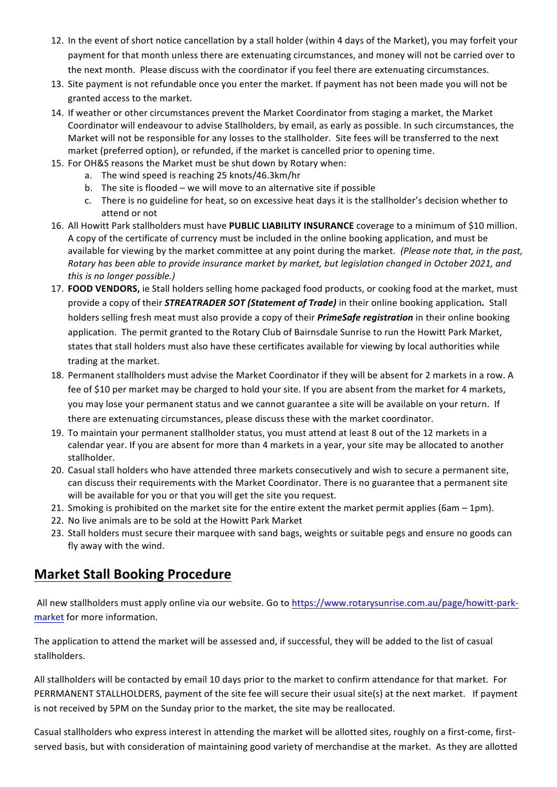- 12. In the event of short notice cancellation by a stall holder (within 4 days of the Market), you may forfeit your payment for that month unless there are extenuating circumstances, and money will not be carried over to the next month. Please discuss with the coordinator if you feel there are extenuating circumstances.
- 13. Site payment is not refundable once you enter the market. If payment has not been made you will not be granted access to the market.
- 14. If weather or other circumstances prevent the Market Coordinator from staging a market, the Market Coordinator will endeavour to advise Stallholders, by email, as early as possible. In such circumstances, the Market will not be responsible for any losses to the stallholder. Site fees will be transferred to the next market (preferred option), or refunded, if the market is cancelled prior to opening time.
- 15. For OH&S reasons the Market must be shut down by Rotary when:
	- a. The wind speed is reaching 25 knots/46.3km/hr
	- b. The site is flooded we will move to an alternative site if possible
	- c. There is no guideline for heat, so on excessive heat days it is the stallholder's decision whether to attend or not
- 16. All Howitt Park stallholders must have PUBLIC LIABILITY INSURANCE coverage to a minimum of \$10 million. A copy of the certificate of currency must be included in the online booking application, and must be available for viewing by the market committee at any point during the market. (Please note that, in the past, Rotary has been able to provide insurance market by market, but legislation changed in October 2021, and *this is no longer possible.)*
- 17. **FOOD VENDORS,** ie Stall holders selling home packaged food products, or cooking food at the market, must provide a copy of their **STREATRADER SOT (Statement of Trade)** in their online booking application. Stall holders selling fresh meat must also provide a copy of their *PrimeSafe registration* in their online booking application. The permit granted to the Rotary Club of Bairnsdale Sunrise to run the Howitt Park Market, states that stall holders must also have these certificates available for viewing by local authorities while trading at the market.
- 18. Permanent stallholders must advise the Market Coordinator if they will be absent for 2 markets in a row. A fee of \$10 per market may be charged to hold your site. If you are absent from the market for 4 markets, you may lose your permanent status and we cannot guarantee a site will be available on your return. If there are extenuating circumstances, please discuss these with the market coordinator.
- 19. To maintain your permanent stallholder status, you must attend at least 8 out of the 12 markets in a calendar year. If you are absent for more than 4 markets in a year, your site may be allocated to another stallholder.
- 20. Casual stall holders who have attended three markets consecutively and wish to secure a permanent site, can discuss their requirements with the Market Coordinator. There is no guarantee that a permanent site will be available for you or that you will get the site you request.
- 21. Smoking is prohibited on the market site for the entire extent the market permit applies (6am 1pm).
- 22. No live animals are to be sold at the Howitt Park Market
- 23. Stall holders must secure their marquee with sand bags, weights or suitable pegs and ensure no goods can fly away with the wind.

## **Market Stall Booking Procedure**

All new stallholders must apply online via our website. Go to https://www.rotarysunrise.com.au/page/howitt-parkmarket for more information.

The application to attend the market will be assessed and, if successful, they will be added to the list of casual stallholders. 

All stallholders will be contacted by email 10 days prior to the market to confirm attendance for that market. For PERRMANENT STALLHOLDERS, payment of the site fee will secure their usual site(s) at the next market. If payment is not received by 5PM on the Sunday prior to the market, the site may be reallocated.

Casual stallholders who express interest in attending the market will be allotted sites, roughly on a first-come, firstserved basis, but with consideration of maintaining good variety of merchandise at the market. As they are allotted